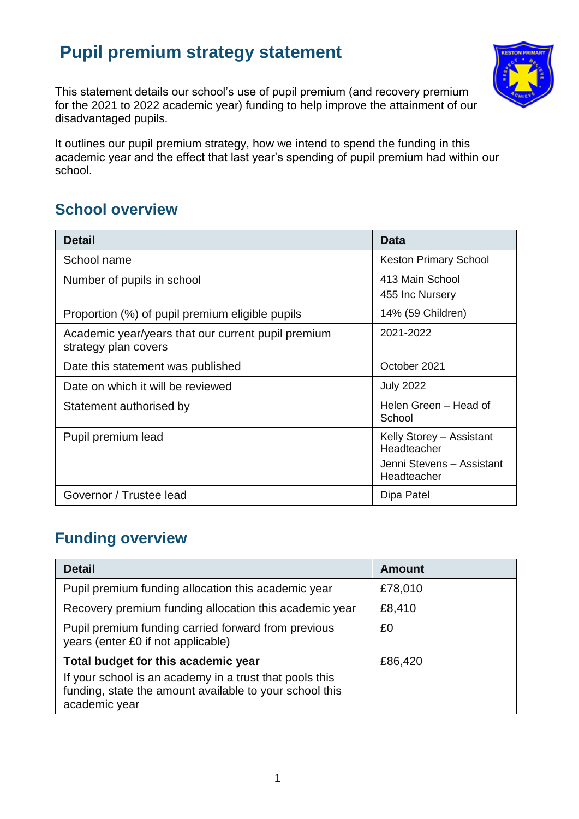# **Pupil premium strategy statement**



This statement details our school's use of pupil premium (and recovery premium for the 2021 to 2022 academic year) funding to help improve the attainment of our disadvantaged pupils.

It outlines our pupil premium strategy, how we intend to spend the funding in this academic year and the effect that last year's spending of pupil premium had within our school.

# **School overview**

| <b>Detail</b>                                                              | <b>Data</b>                              |
|----------------------------------------------------------------------------|------------------------------------------|
| School name                                                                | <b>Keston Primary School</b>             |
| Number of pupils in school                                                 | 413 Main School<br>455 Inc Nursery       |
| Proportion (%) of pupil premium eligible pupils                            | 14% (59 Children)                        |
| Academic year/years that our current pupil premium<br>strategy plan covers | 2021-2022                                |
| Date this statement was published                                          | October 2021                             |
| Date on which it will be reviewed                                          | <b>July 2022</b>                         |
| Statement authorised by                                                    | Helen Green – Head of<br>School          |
| Pupil premium lead                                                         | Kelly Storey - Assistant<br>Headteacher  |
|                                                                            | Jenni Stevens - Assistant<br>Headteacher |
| Governor / Trustee lead                                                    | Dipa Patel                               |

# **Funding overview**

| <b>Detail</b>                                                                                  | <b>Amount</b> |
|------------------------------------------------------------------------------------------------|---------------|
| Pupil premium funding allocation this academic year                                            | £78,010       |
| Recovery premium funding allocation this academic year                                         | £8,410        |
| Pupil premium funding carried forward from previous<br>years (enter £0 if not applicable)      | £0            |
| Total budget for this academic year<br>If your school is an academy in a trust that pools this | £86,420       |
| funding, state the amount available to your school this<br>academic year                       |               |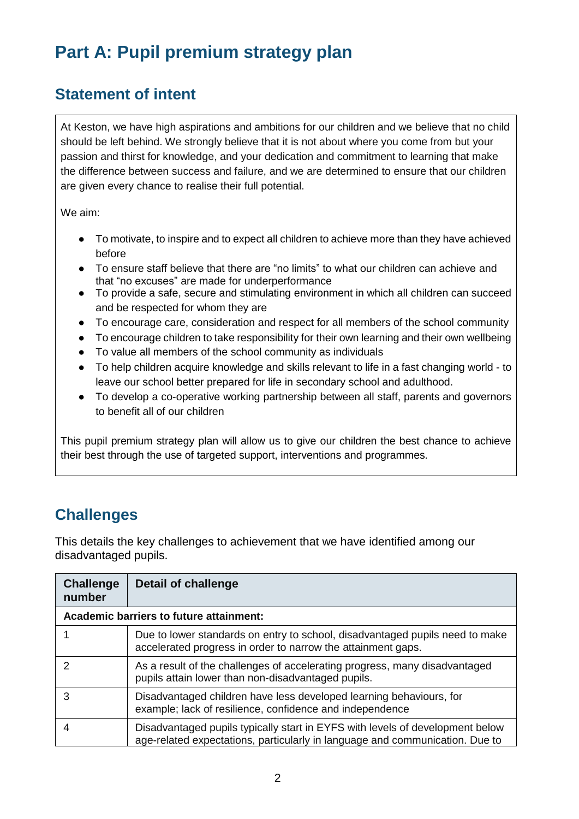# **Part A: Pupil premium strategy plan**

## **Statement of intent**

At Keston, we have high aspirations and ambitions for our children and we believe that no child should be left behind. We strongly believe that it is not about where you come from but your passion and thirst for knowledge, and your dedication and commitment to learning that make the difference between success and failure, and we are determined to ensure that our children are given every chance to realise their full potential.

We aim:

- To motivate, to inspire and to expect all children to achieve more than they have achieved before
- To ensure staff believe that there are "no limits" to what our children can achieve and that "no excuses" are made for underperformance
- To provide a safe, secure and stimulating environment in which all children can succeed and be respected for whom they are
- To encourage care, consideration and respect for all members of the school community
- To encourage children to take responsibility for their own learning and their own wellbeing
- To value all members of the school community as individuals
- To help children acquire knowledge and skills relevant to life in a fast changing world to leave our school better prepared for life in secondary school and adulthood.
- To develop a co-operative working partnership between all staff, parents and governors to benefit all of our children

This pupil premium strategy plan will allow us to give our children the best chance to achieve their best through the use of targeted support, interventions and programmes*.*

# **Challenges**

This details the key challenges to achievement that we have identified among our disadvantaged pupils.

| <b>Challenge</b><br>number | Detail of challenge                                                                                                                                           |
|----------------------------|---------------------------------------------------------------------------------------------------------------------------------------------------------------|
|                            | Academic barriers to future attainment:                                                                                                                       |
|                            | Due to lower standards on entry to school, disadvantaged pupils need to make<br>accelerated progress in order to narrow the attainment gaps.                  |
| 2                          | As a result of the challenges of accelerating progress, many disadvantaged<br>pupils attain lower than non-disadvantaged pupils.                              |
| 3                          | Disadvantaged children have less developed learning behaviours, for<br>example; lack of resilience, confidence and independence                               |
| 4                          | Disadvantaged pupils typically start in EYFS with levels of development below<br>age-related expectations, particularly in language and communication. Due to |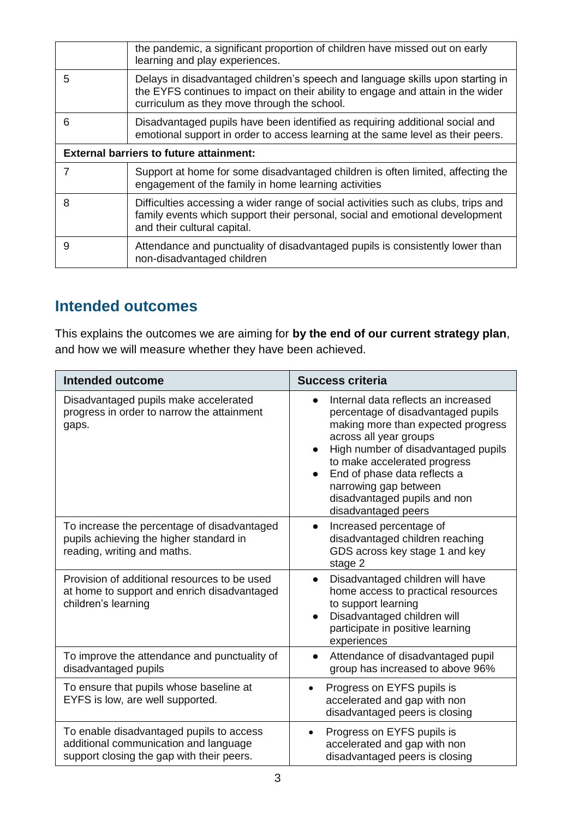|                                                | the pandemic, a significant proportion of children have missed out on early<br>learning and play experiences.                                                                                                    |  |
|------------------------------------------------|------------------------------------------------------------------------------------------------------------------------------------------------------------------------------------------------------------------|--|
| 5                                              | Delays in disadvantaged children's speech and language skills upon starting in<br>the EYFS continues to impact on their ability to engage and attain in the wider<br>curriculum as they move through the school. |  |
| 6                                              | Disadvantaged pupils have been identified as requiring additional social and<br>emotional support in order to access learning at the same level as their peers.                                                  |  |
| <b>External barriers to future attainment:</b> |                                                                                                                                                                                                                  |  |
|                                                | Support at home for some disadvantaged children is often limited, affecting the<br>engagement of the family in home learning activities                                                                          |  |
| 8                                              | Difficulties accessing a wider range of social activities such as clubs, trips and<br>family events which support their personal, social and emotional development<br>and their cultural capital.                |  |
| 9                                              | Attendance and punctuality of disadvantaged pupils is consistently lower than<br>non-disadvantaged children                                                                                                      |  |

## **Intended outcomes**

This explains the outcomes we are aiming for **by the end of our current strategy plan**, and how we will measure whether they have been achieved.

| <b>Intended outcome</b>                                                                                                        | <b>Success criteria</b>                                                                                                                                                                                                                                                                                                                       |
|--------------------------------------------------------------------------------------------------------------------------------|-----------------------------------------------------------------------------------------------------------------------------------------------------------------------------------------------------------------------------------------------------------------------------------------------------------------------------------------------|
| Disadvantaged pupils make accelerated<br>progress in order to narrow the attainment<br>gaps.                                   | Internal data reflects an increased<br>percentage of disadvantaged pupils<br>making more than expected progress<br>across all year groups<br>High number of disadvantaged pupils<br>to make accelerated progress<br>End of phase data reflects a<br>$\bullet$<br>narrowing gap between<br>disadvantaged pupils and non<br>disadvantaged peers |
| To increase the percentage of disadvantaged<br>pupils achieving the higher standard in<br>reading, writing and maths.          | Increased percentage of<br>$\bullet$<br>disadvantaged children reaching<br>GDS across key stage 1 and key<br>stage 2                                                                                                                                                                                                                          |
| Provision of additional resources to be used<br>at home to support and enrich disadvantaged<br>children's learning             | Disadvantaged children will have<br>$\bullet$<br>home access to practical resources<br>to support learning<br>Disadvantaged children will<br>participate in positive learning<br>experiences                                                                                                                                                  |
| To improve the attendance and punctuality of<br>disadvantaged pupils                                                           | Attendance of disadvantaged pupil<br>group has increased to above 96%                                                                                                                                                                                                                                                                         |
| To ensure that pupils whose baseline at<br>EYFS is low, are well supported.                                                    | Progress on EYFS pupils is<br>$\bullet$<br>accelerated and gap with non<br>disadvantaged peers is closing                                                                                                                                                                                                                                     |
| To enable disadvantaged pupils to access<br>additional communication and language<br>support closing the gap with their peers. | Progress on EYFS pupils is<br>$\bullet$<br>accelerated and gap with non<br>disadvantaged peers is closing                                                                                                                                                                                                                                     |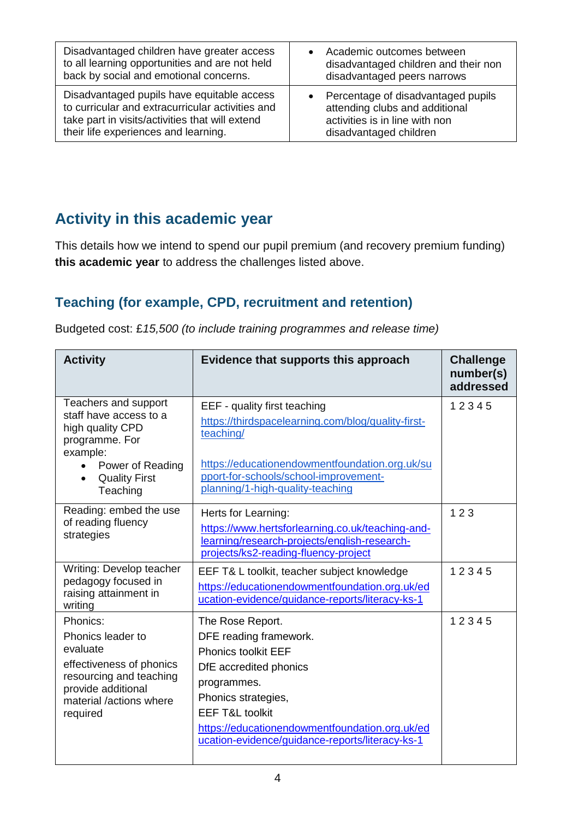| Disadvantaged children have greater access       | Academic outcomes between            |
|--------------------------------------------------|--------------------------------------|
| to all learning opportunities and are not held   | disadvantaged children and their non |
| back by social and emotional concerns.           | disadvantaged peers narrows          |
| Disadvantaged pupils have equitable access       | • Percentage of disadvantaged pupils |
| to curricular and extracurricular activities and | attending clubs and additional       |
| take part in visits/activities that will extend  | activities is in line with non       |
| their life experiences and learning.             | disadvantaged children               |

## **Activity in this academic year**

This details how we intend to spend our pupil premium (and recovery premium funding) **this academic year** to address the challenges listed above.

### **Teaching (for example, CPD, recruitment and retention)**

Budgeted cost: £*15,500 (to include training programmes and release time)*

| <b>Activity</b>                                                                                                                                                       | Evidence that supports this approach                                                                                                                                                                                                                                        | <b>Challenge</b><br>number(s)<br>addressed |
|-----------------------------------------------------------------------------------------------------------------------------------------------------------------------|-----------------------------------------------------------------------------------------------------------------------------------------------------------------------------------------------------------------------------------------------------------------------------|--------------------------------------------|
| Teachers and support<br>staff have access to a<br>high quality CPD<br>programme. For<br>example:<br>Power of Reading<br>$\bullet$<br><b>Quality First</b><br>Teaching | EEF - quality first teaching<br>https://thirdspacelearning.com/blog/quality-first-<br>teaching/<br>https://educationendowmentfoundation.org.uk/su<br>pport-for-schools/school-improvement-<br>planning/1-high-quality-teaching                                              | 12345                                      |
| Reading: embed the use<br>of reading fluency<br>strategies                                                                                                            | Herts for Learning:<br>https://www.hertsforlearning.co.uk/teaching-and-<br>learning/research-projects/english-research-<br>projects/ks2-reading-fluency-project                                                                                                             | 123                                        |
| Writing: Develop teacher<br>pedagogy focused in<br>raising attainment in<br>writing                                                                                   | EEF T& L toolkit, teacher subject knowledge<br>https://educationendowmentfoundation.org.uk/ed<br>ucation-evidence/guidance-reports/literacy-ks-1                                                                                                                            | 12345                                      |
| Phonics:<br>Phonics leader to<br>evaluate<br>effectiveness of phonics<br>resourcing and teaching<br>provide additional<br>material /actions where<br>required         | The Rose Report.<br>DFE reading framework.<br><b>Phonics toolkit EEF</b><br>DfE accredited phonics<br>programmes.<br>Phonics strategies,<br><b>EEF T&amp;L toolkit</b><br>https://educationendowmentfoundation.org.uk/ed<br>ucation-evidence/guidance-reports/literacy-ks-1 | 12345                                      |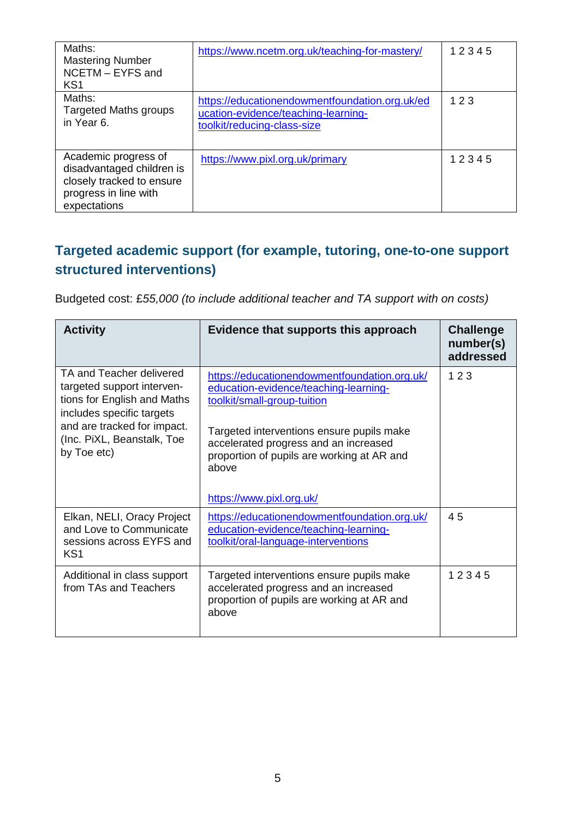| Maths:<br><b>Mastering Number</b><br>NCETM - EYFS and<br>KS <sub>1</sub>                                                | https://www.ncetm.org.uk/teaching-for-mastery/                                                                       | 12345 |
|-------------------------------------------------------------------------------------------------------------------------|----------------------------------------------------------------------------------------------------------------------|-------|
| Maths:<br><b>Targeted Maths groups</b><br>in Year 6.                                                                    | https://educationendowmentfoundation.org.uk/ed<br>ucation-evidence/teaching-learning-<br>toolkit/reducing-class-size | 123   |
| Academic progress of<br>disadvantaged children is<br>closely tracked to ensure<br>progress in line with<br>expectations | https://www.pixl.org.uk/primary                                                                                      | 12345 |

### **Targeted academic support (for example, tutoring, one-to-one support structured interventions)**

Budgeted cost: £*55,000 (to include additional teacher and TA support with on costs)* 

| <b>Activity</b>                                                                                                                                   | Evidence that supports this approach                                                                                                                              | <b>Challenge</b><br>number(s)<br>addressed |
|---------------------------------------------------------------------------------------------------------------------------------------------------|-------------------------------------------------------------------------------------------------------------------------------------------------------------------|--------------------------------------------|
| TA and Teacher delivered<br>targeted support interven-<br>tions for English and Maths<br>includes specific targets<br>and are tracked for impact. | https://educationendowmentfoundation.org.uk/<br>education-evidence/teaching-learning-<br>toolkit/small-group-tuition<br>Targeted interventions ensure pupils make | 123                                        |
| (Inc. PiXL, Beanstalk, Toe<br>by Toe etc)                                                                                                         | accelerated progress and an increased<br>proportion of pupils are working at AR and<br>above<br>https://www.pixl.org.uk/                                          |                                            |
| Elkan, NELI, Oracy Project<br>and Love to Communicate<br>sessions across EYFS and<br>KS <sub>1</sub>                                              | https://educationendowmentfoundation.org.uk/<br>education-evidence/teaching-learning-<br>toolkit/oral-language-interventions                                      | 45                                         |
| Additional in class support<br>from TAs and Teachers                                                                                              | Targeted interventions ensure pupils make<br>accelerated progress and an increased<br>proportion of pupils are working at AR and<br>above                         | 12345                                      |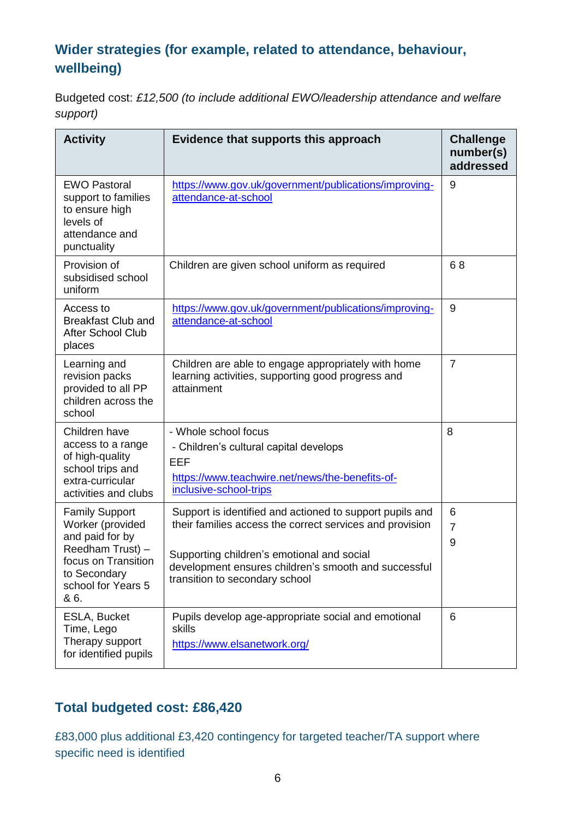#### **Wider strategies (for example, related to attendance, behaviour, wellbeing)**

Budgeted cost: *£12,500 (to include additional EWO/leadership attendance and welfare support)*

| <b>Activity</b>                                                                                                                                       | Evidence that supports this approach                                                                                                                                                                                                                         | <b>Challenge</b><br>number(s)<br>addressed |
|-------------------------------------------------------------------------------------------------------------------------------------------------------|--------------------------------------------------------------------------------------------------------------------------------------------------------------------------------------------------------------------------------------------------------------|--------------------------------------------|
| <b>EWO Pastoral</b><br>support to families<br>to ensure high<br>levels of<br>attendance and<br>punctuality                                            | https://www.gov.uk/government/publications/improving-<br>attendance-at-school                                                                                                                                                                                | 9                                          |
| Provision of<br>subsidised school<br>uniform                                                                                                          | Children are given school uniform as required                                                                                                                                                                                                                | 68                                         |
| Access to<br><b>Breakfast Club and</b><br><b>After School Club</b><br>places                                                                          | https://www.gov.uk/government/publications/improving-<br>attendance-at-school                                                                                                                                                                                | 9                                          |
| Learning and<br>revision packs<br>provided to all PP<br>children across the<br>school                                                                 | Children are able to engage appropriately with home<br>learning activities, supporting good progress and<br>attainment                                                                                                                                       | $\overline{7}$                             |
| Children have<br>access to a range<br>of high-quality<br>school trips and<br>extra-curricular<br>activities and clubs                                 | - Whole school focus<br>- Children's cultural capital develops<br><b>EEF</b><br>https://www.teachwire.net/news/the-benefits-of-<br>inclusive-school-trips                                                                                                    | 8                                          |
| <b>Family Support</b><br>Worker (provided<br>and paid for by<br>Reedham Trust) -<br>focus on Transition<br>to Secondary<br>school for Years 5<br>& 6. | Support is identified and actioned to support pupils and<br>their families access the correct services and provision<br>Supporting children's emotional and social<br>development ensures children's smooth and successful<br>transition to secondary school | 6<br>$\overline{7}$<br>9                   |
| ESLA, Bucket<br>Time, Lego<br>Therapy support<br>for identified pupils                                                                                | Pupils develop age-appropriate social and emotional<br>skills<br>https://www.elsanetwork.org/                                                                                                                                                                | 6                                          |

#### **Total budgeted cost: £86,420**

£83,000 plus additional £3,420 contingency for targeted teacher/TA support where specific need is identified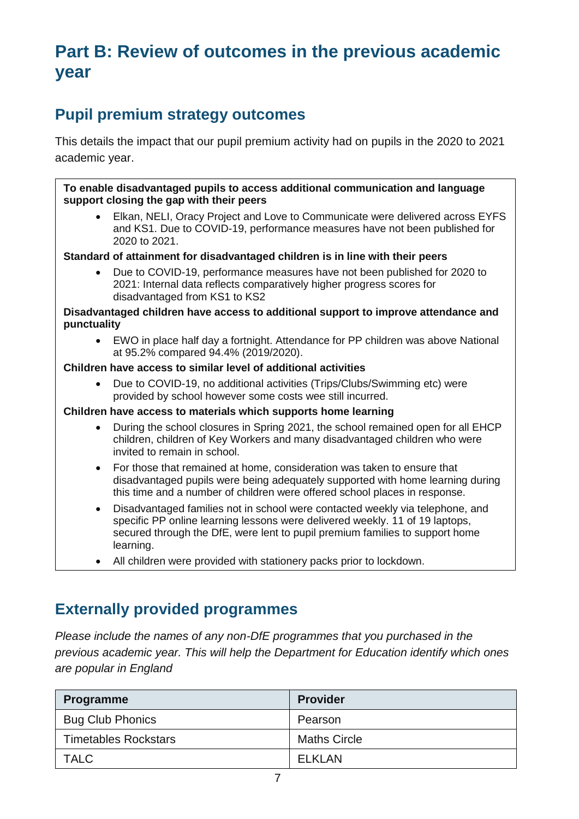# **Part B: Review of outcomes in the previous academic year**

# **Pupil premium strategy outcomes**

This details the impact that our pupil premium activity had on pupils in the 2020 to 2021 academic year.

**To enable disadvantaged pupils to access additional communication and language support closing the gap with their peers** 

• Elkan, NELI, Oracy Project and Love to Communicate were delivered across EYFS and KS1. Due to COVID-19, performance measures have not been published for 2020 to 2021.

**Standard of attainment for disadvantaged children is in line with their peers**

• Due to COVID-19, performance measures have not been published for 2020 to 2021: Internal data reflects comparatively higher progress scores for disadvantaged from KS1 to KS2

**Disadvantaged children have access to additional support to improve attendance and punctuality**

• EWO in place half day a fortnight. Attendance for PP children was above National at 95.2% compared 94.4% (2019/2020).

#### **Children have access to similar level of additional activities**

• Due to COVID-19, no additional activities (Trips/Clubs/Swimming etc) were provided by school however some costs wee still incurred.

#### **Children have access to materials which supports home learning**

- During the school closures in Spring 2021, the school remained open for all EHCP children, children of Key Workers and many disadvantaged children who were invited to remain in school.
- For those that remained at home, consideration was taken to ensure that disadvantaged pupils were being adequately supported with home learning during this time and a number of children were offered school places in response.
- Disadvantaged families not in school were contacted weekly via telephone, and specific PP online learning lessons were delivered weekly. 11 of 19 laptops, secured through the DfE, were lent to pupil premium families to support home learning.
- All children were provided with stationery packs prior to lockdown.

#### **Externally provided programmes**

*Please include the names of any non-DfE programmes that you purchased in the previous academic year. This will help the Department for Education identify which ones are popular in England*

| Programme                   | <b>Provider</b>     |
|-----------------------------|---------------------|
| <b>Bug Club Phonics</b>     | Pearson             |
| <b>Timetables Rockstars</b> | <b>Maths Circle</b> |
| <b>TALC</b>                 | <b>ELKLAN</b>       |